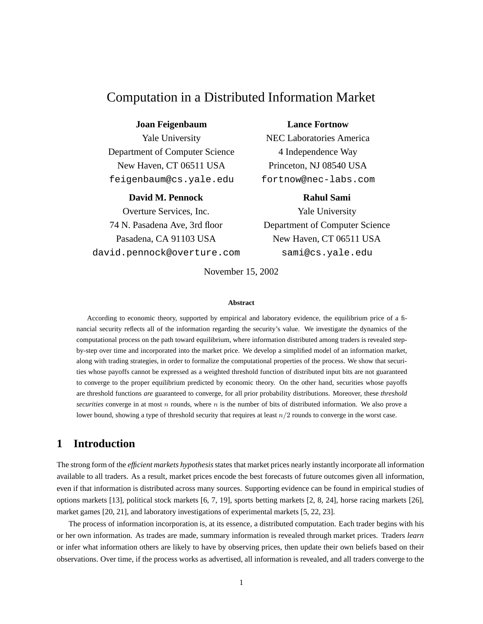# Computation in a Distributed Information Market

**Joan Feigenbaum**

Yale University Department of Computer Science New Haven, CT 06511 USA feigenbaum@cs.yale.edu

### **David M. Pennock**

Overture Services, Inc. 74 N. Pasadena Ave, 3rd floor Pasadena, CA 91103 USA david.pennock@overture.com

### **Lance Fortnow**

NEC Laboratories America 4 Independence Way Princeton, NJ 08540 USA fortnow@nec-labs.com

**Rahul Sami**

Yale University Department of Computer Science New Haven, CT 06511 USA sami@cs.yale.edu

November 15, 2002

#### **Abstract**

According to economic theory, supported by empirical and laboratory evidence, the equilibrium price of a financial security reflects all of the information regarding the security's value. We investigate the dynamics of the computational process on the path toward equilibrium, where information distributed among traders is revealed stepby-step over time and incorporated into the market price. We develop a simplified model of an information market, along with trading strategies, in order to formalize the computational properties of the process. We show that securities whose payoffs cannot be expressed as a weighted threshold function of distributed input bits are not guaranteed to converge to the proper equilibrium predicted by economic theory. On the other hand, securities whose payoffs are threshold functions *are* guaranteed to converge, for all prior probability distributions. Moreover, these *threshold securities* converge in at most *n* rounds, where *n* is the number of bits of distributed information. We also prove a lower bound, showing a type of threshold security that requires at least  $n/2$  rounds to converge in the worst case.

## **1 Introduction**

The strong form of the *efficient markets hypothesis*states that market prices nearly instantly incorporate all information available to all traders. As a result, market prices encode the best forecasts of future outcomes given all information, even if that information is distributed across many sources. Supporting evidence can be found in empirical studies of options markets [13], political stock markets [6, 7, 19], sports betting markets [2, 8, 24], horse racing markets [26], market games [20, 21], and laboratory investigations of experimental markets [5, 22, 23].

The process of information incorporation is, at its essence, a distributed computation. Each trader begins with his or her own information. As trades are made, summary information is revealed through market prices. Traders *learn* or infer what information others are likely to have by observing prices, then update their own beliefs based on their observations. Over time, if the process works as advertised, all information is revealed, and all traders converge to the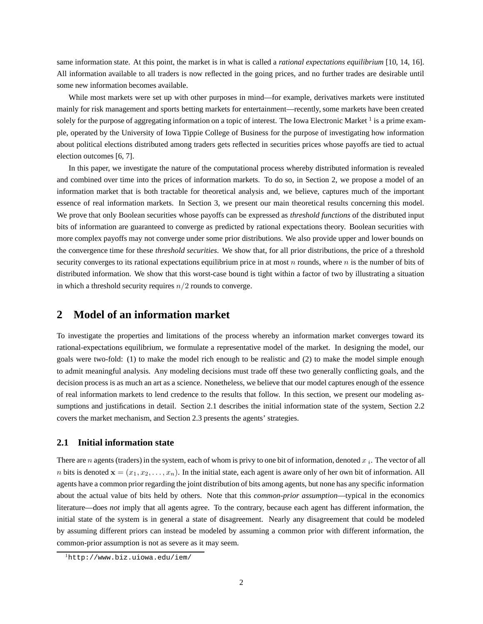same information state. At this point, the market is in what is called a *rational expectations equilibrium* [10, 14, 16]. All information available to all traders is now reflected in the going prices, and no further trades are desirable until some new information becomes available.

While most markets were set up with other purposes in mind—for example, derivatives markets were instituted mainly for risk management and sports betting markets for entertainment—recently, some markets have been created solely for the purpose of aggregating information on a topic of interest. The Iowa Electronic Market  $\frac{1}{1}$  is a prime example, operated by the University of Iowa Tippie College of Business for the purpose of investigating how information about political elections distributed among traders gets reflected in securities prices whose payoffs are tied to actual election outcomes [6, 7].

In this paper, we investigate the nature of the computational process whereby distributed information is revealed and combined over time into the prices of information markets. To do so, in Section 2, we propose a model of an information market that is both tractable for theoretical analysis and, we believe, captures much of the important essence of real information markets. In Section 3, we present our main theoretical results concerning this model. We prove that only Boolean securities whose payoffs can be expressed as *threshold functions* of the distributed input bits of information are guaranteed to converge as predicted by rational expectations theory. Boolean securities with more complex payoffs may not converge under some prior distributions. We also provide upper and lower bounds on the convergence time for these *threshold securities*. We show that, for all prior distributions, the price of a threshold security converges to its rational expectations equilibrium price in at most  $n$  rounds, where  $n$  is the number of bits of distributed information. We show that this worst-case bound is tight within a factor of two by illustrating a situation in which a threshold security requires  $n/2$  rounds to converge.

### **2 Model of an information market**

To investigate the properties and limitations of the process whereby an information market converges toward its rational-expectations equilibrium, we formulate a representative model of the market. In designing the model, our goals were two-fold: (1) to make the model rich enough to be realistic and (2) to make the model simple enough to admit meaningful analysis. Any modeling decisions must trade off these two generally conflicting goals, and the decision process is as much an art as a science. Nonetheless, we believe that our model captures enough of the essence of real information markets to lend credence to the results that follow. In this section, we present our modeling assumptions and justifications in detail. Section 2.1 describes the initial information state of the system, Section 2.2 covers the market mechanism, and Section 2.3 presents the agents' strategies.

### **2.1 Initial information state**

There are n agents (traders) in the system, each of whom is privy to one bit of information, denoted  $x_i$ . The vector of all *n* bits is denoted  $\mathbf{x} = (x_1, x_2, \dots, x_n)$ . In the initial state, each agent is aware only of her own bit of information. All agents have a common prior regarding the joint distribution of bits among agents, but none has any specific information about the actual value of bits held by others. Note that this *common-prior assumption*—typical in the economics literature—does *not* imply that all agents agree. To the contrary, because each agent has different information, the initial state of the system is in general a state of disagreement. Nearly any disagreement that could be modeled by assuming different priors can instead be modeled by assuming a common prior with different information, the common-prior assumption is not as severe as it may seem.

<sup>1</sup>http://www.biz.uiowa.edu/iem/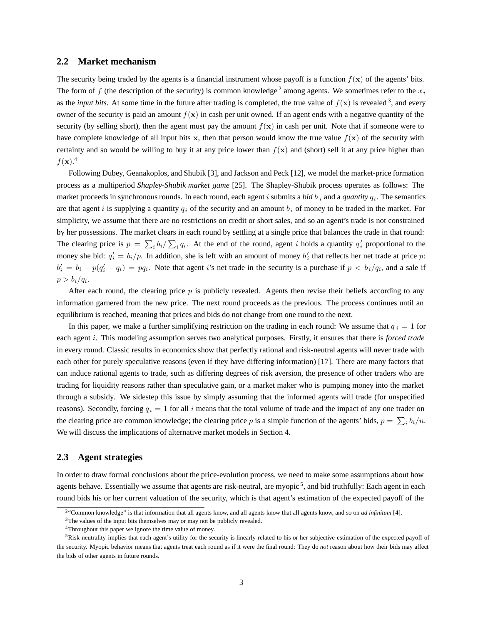### **2.2 Market mechanism**

The security being traded by the agents is a financial instrument whose payoff is a function  $f(x)$  of the agents' bits. The form of f (the description of the security) is common knowledge<sup>2</sup> among agents. We sometimes refer to the  $x_i$ as the *input bits*. At some time in the future after trading is completed, the true value of  $f(\mathbf{x})$  is revealed <sup>3</sup>, and every owner of the security is paid an amount  $f(x)$  in cash per unit owned. If an agent ends with a negative quantity of the security (by selling short), then the agent must pay the amount  $f(x)$  in cash per unit. Note that if someone were to have complete knowledge of all input bits **x**, then that person would know the true value  $f(\mathbf{x})$  of the security with certainty and so would be willing to buy it at any price lower than  $f(x)$  and (short) sell it at any price higher than  $f(\mathbf{x})$ .<sup>4</sup>

Following Dubey, Geanakoplos, and Shubik [3], and Jackson and Peck [12], we model the market-price formation process as a multiperiod *Shapley-Shubik market game* [25]. The Shapley-Shubik process operates as follows: The market proceeds in synchronous rounds. In each round, each agent i submits a *bid*  $b_i$  and a *quantity*  $q_i$ . The semantics are that agent i is supplying a quantity  $q_i$  of the security and an amount  $b_i$  of money to be traded in the market. For simplicity, we assume that there are no restrictions on credit or short sales, and so an agent's trade is not constrained by her possessions. The market clears in each round by settling at a single price that balances the trade in that round: The clearing price is  $p = \sum_i b_i / \sum_i q_i$ . At the end of the round, agent i holds a quantity  $q'_i$  proportional to the money she bid:  $q'_i = b_i/p$ . In addition, she is left with an amount of money  $b'_i$  that reflects her net trade at price p:  $b'_i = b_i - p(q'_i - q_i) = pq_i$ . Note that agent *i*'s net trade in the security is a purchase if  $p < b_i/q_i$ , and a sale if  $p>b_i/q_i$ .

After each round, the clearing price p is publicly revealed. Agents then revise their beliefs according to any information garnered from the new price. The next round proceeds as the previous. The process continues until an equilibrium is reached, meaning that prices and bids do not change from one round to the next.

In this paper, we make a further simplifying restriction on the trading in each round: We assume that  $q_i = 1$  for each agent *i*. This modeling assumption serves two analytical purposes. Firstly, it ensures that there is *forced trade* in every round. Classic results in economics show that perfectly rational and risk-neutral agents will never trade with each other for purely speculative reasons (even if they have differing information) [17]. There are many factors that can induce rational agents to trade, such as differing degrees of risk aversion, the presence of other traders who are trading for liquidity reasons rather than speculative gain, or a market maker who is pumping money into the market through a subsidy. We sidestep this issue by simply assuming that the informed agents will trade (for unspecified reasons). Secondly, forcing  $q_i = 1$  for all i means that the total volume of trade and the impact of any one trader on the clearing price are common knowledge; the clearing price p is a simple function of the agents' bids,  $p = \sum_i b_i/n$ . We will discuss the implications of alternative market models in Section 4.

### **2.3 Agent strategies**

In order to draw formal conclusions about the price-evolution process, we need to make some assumptions about how agents behave. Essentially we assume that agents are risk-neutral, are myopic<sup>5</sup>, and bid truthfully: Each agent in each round bids his or her current valuation of the security, which is that agent's estimation of the expected payoff of the

<sup>2&</sup>quot;Common knowledge" is that information that all agents know, and all agents know that all agents know, and so on *ad infinitum* [4].

<sup>&</sup>lt;sup>3</sup>The values of the input bits themselves may or may not be publicly revealed.

<sup>&</sup>lt;sup>4</sup>Throughout this paper we ignore the time value of money.

<sup>5</sup>Risk-neutrality implies that each agent's utility for the security is linearly related to his or her subjective estimation of the expected payoff of the security. Myopic behavior means that agents treat each round as if it were the final round: They do *not* reason about how their bids may affect the bids of other agents in future rounds.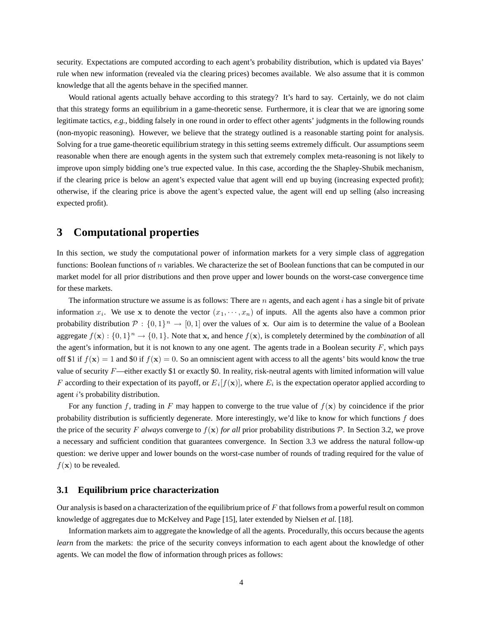security. Expectations are computed according to each agent's probability distribution, which is updated via Bayes' rule when new information (revealed via the clearing prices) becomes available. We also assume that it is common knowledge that all the agents behave in the specified manner.

Would rational agents actually behave according to this strategy? It's hard to say. Certainly, we do not claim that this strategy forms an equilibrium in a game-theoretic sense. Furthermore, it is clear that we are ignoring some legitimate tactics, *e.g.*, bidding falsely in one round in order to effect other agents' judgments in the following rounds (non-myopic reasoning). However, we believe that the strategy outlined is a reasonable starting point for analysis. Solving for a true game-theoretic equilibrium strategy in this setting seems extremely difficult. Our assumptions seem reasonable when there are enough agents in the system such that extremely complex meta-reasoning is not likely to improve upon simply bidding one's true expected value. In this case, according the the Shapley-Shubik mechanism, if the clearing price is below an agent's expected value that agent will end up buying (increasing expected profit); otherwise, if the clearing price is above the agent's expected value, the agent will end up selling (also increasing expected profit).

### **3 Computational properties**

In this section, we study the computational power of information markets for a very simple class of aggregation functions: Boolean functions of n variables. We characterize the set of Boolean functions that can be computed in our market model for all prior distributions and then prove upper and lower bounds on the worst-case convergence time for these markets.

The information structure we assume is as follows: There are  $n$  agents, and each agent  $i$  has a single bit of private information  $x_i$ . We use **x** to denote the vector  $(x_1, \dots, x_n)$  of inputs. All the agents also have a common prior probability distribution  $P : \{0,1\}^n \to [0,1]$  over the values of **x**. Our aim is to determine the value of a Boolean aggregate  $f(\mathbf{x}) : \{0,1\}^n \to \{0,1\}$ . Note that **x**, and hence  $f(\mathbf{x})$ , is completely determined by the *combination* of all the agent's information, but it is not known to any one agent. The agents trade in a Boolean security  $F$ , which pays off \$1 if  $f(\mathbf{x})=1$  and \$0 if  $f(\mathbf{x})=0$ . So an omniscient agent with access to all the agents' bits would know the true value of security F—either exactly \$1 or exactly \$0. In reality, risk-neutral agents with limited information will value F according to their expectation of its payoff, or  $E_i[f(\mathbf{x})]$ , where  $E_i$  is the expectation operator applied according to agent *i*'s probability distribution.

For any function f, trading in F may happen to converge to the true value of  $f(\mathbf{x})$  by coincidence if the prior probability distribution is sufficiently degenerate. More interestingly, we'd like to know for which functions  $f$  does the price of the security F *always* converge to  $f(x)$  *for all* prior probability distributions P. In Section 3.2, we prove a necessary and sufficient condition that guarantees convergence. In Section 3.3 we address the natural follow-up question: we derive upper and lower bounds on the worst-case number of rounds of trading required for the value of  $f(\mathbf{x})$  to be revealed.

#### **3.1 Equilibrium price characterization**

Our analysis is based on a characterization of the equilibrium price of  $F$  that follows from a powerful result on common knowledge of aggregates due to McKelvey and Page [15], later extended by Nielsen *et al.* [18].

Information markets aim to aggregate the knowledge of all the agents. Procedurally, this occurs because the agents *learn* from the markets: the price of the security conveys information to each agent about the knowledge of other agents. We can model the flow of information through prices as follows: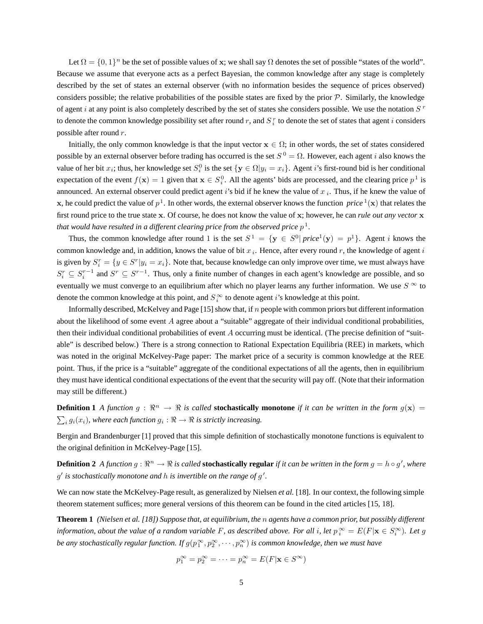Let  $\Omega = \{0, 1\}^n$  be the set of possible values of **x**; we shall say  $\Omega$  denotes the set of possible "states of the world". Because we assume that everyone acts as a perfect Bayesian, the common knowledge after any stage is completely described by the set of states an external observer (with no information besides the sequence of prices observed) considers possible; the relative probabilities of the possible states are fixed by the prior  $\mathcal{P}$ . Similarly, the knowledge of agent i at any point is also completely described by the set of states she considers possible. We use the notation S *<sup>r</sup>* to denote the common knowledge possibility set after round  $r$ , and  $S_i^r$  to denote the set of states that agent  $i$  considers possible after round r.

Initially, the only common knowledge is that the input vector  $\mathbf{x} \in \Omega$ ; in other words, the set of states considered possible by an external observer before trading has occurred is the set  $S^0 = \Omega$ . However, each agent *i* also knows the value of her bit  $x_i$ ; thus, her knowledge set  $S_i^0$  is the set  $\{y \in \Omega | y_i = x_i\}$ . Agent i's first-round bid is her conditional expectation of the event  $f(\mathbf{x})=1$  given that  $\mathbf{x} \in S_i^0$ . All the agents' bids are processed, and the clearing price  $p^1$  is announced. An external observer could predict agent i's bid if he knew the value of  $x_i$ . Thus, if he knew the value of **x**, he could predict the value of  $p^1$ . In other words, the external observer knows the function *price*  $\frac{1}{x}$  that relates the first round price to the true state **x**. Of course, he does not know the value of **x**; however, he can *rule out any vector* **x** *that would have resulted in a different clearing price from the observed price*  $p<sup>1</sup>$ .

Thus, the common knowledge after round 1 is the set  $S^1 = \{y \in S^0 | price^1(y) = p^1\}$ . Agent i knows the common knowledge and, in addition, knows the value of bit  $x_i$ . Hence, after every round  $r$ , the knowledge of agent  $i$ is given by  $S_i^r = \{y \in S^r | y_i = x_i\}$ . Note that, because knowledge can only improve over time, we must always have  $S_i^r \subseteq S_i^{r-1}$  and  $S^r \subseteq S^{r-1}$ . Thus, only a finite number of changes in each agent's knowledge are possible, and so eventually we must converge to an equilibrium after which no player learns any further information. We use  $S^{\infty}$  to denote the common knowledge at this point, and  $S_i^{\infty}$  to denote agent *i*'s knowledge at this point.

Informally described, McKelvey and Page  $[15]$  show that, if n people with common priors but different information about the likelihood of some event A agree about a "suitable" aggregate of their individual conditional probabilities, then their individual conditional probabilities of event A occurring must be identical. (The precise definition of "suitable" is described below.) There is a strong connection to Rational Expectation Equilibria (REE) in markets, which was noted in the original McKelvey-Page paper: The market price of a security is common knowledge at the REE point. Thus, if the price is a "suitable" aggregate of the conditional expectations of all the agents, then in equilibrium they must have identical conditional expectations of the event that the security will pay off. (Note that their information may still be different.)

**Definition 1** *A function*  $g : \mathbb{R}^n \to \mathbb{R}$  *is called* **stochastically monotone** *if it can be written in the form*  $g(\mathbf{x}) =$  $\sum_i g_i(x_i)$ , where each function  $g_i : \Re \to \Re$  is strictly increasing.

Bergin and Brandenburger [1] proved that this simple definition of stochastically monotone functions is equivalent to the original definition in McKelvey-Page [15].

**Definition 2** *A function*  $g : \Re^n \to \Re$  *is called* **stochastically regular** *if it can be written in the form*  $g = h \circ g'$ , where g *is stochastically monotone and* h *is invertible on the range of* g *.*

We can now state the McKelvey-Page result, as generalized by Nielsen *et al.* [18]. In our context, the following simple theorem statement suffices; more general versions of this theorem can be found in the cited articles [15, 18].

**Theorem 1** *(Nielsen et al. [18]) Suppose that, at equilibrium, the* n *agents have a common prior, but possibly different information, about the value of a random variable F, as described above. For all i, let*  $p_i^{\infty} = E(F|\mathbf{x} \in S_i^{\infty})$ *. Let g be any stochastically regular function. If*  $g(p_1^\infty, p_2^\infty, \cdots, p_n^\infty)$  *is common knowledge, then we must have* 

$$
p_1^{\infty} = p_2^{\infty} = \dots = p_n^{\infty} = E(F|\mathbf{x} \in S^{\infty})
$$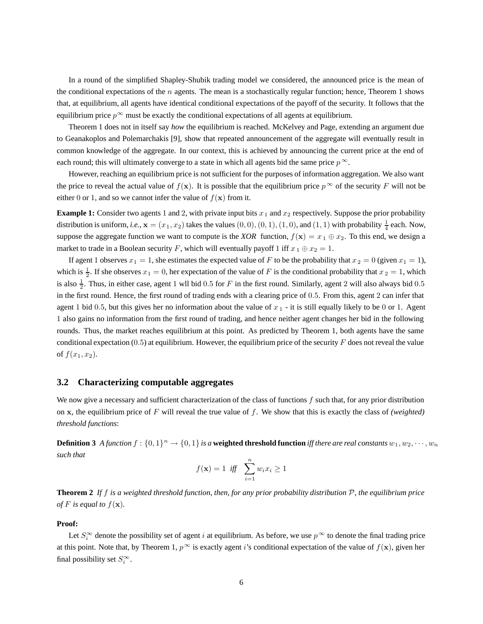In a round of the simplified Shapley-Shubik trading model we considered, the announced price is the mean of the conditional expectations of the  $n$  agents. The mean is a stochastically regular function; hence, Theorem 1 shows that, at equilibrium, all agents have identical conditional expectations of the payoff of the security. It follows that the equilibrium price  $p^{\infty}$  must be exactly the conditional expectations of all agents at equilibrium.

Theorem 1 does not in itself say *how* the equilibrium is reached. McKelvey and Page, extending an argument due to Geanakoplos and Polemarchakis [9], show that repeated announcement of the aggregate will eventually result in common knowledge of the aggregate. In our context, this is achieved by announcing the current price at the end of each round; this will ultimately converge to a state in which all agents bid the same price  $p^{\infty}$ .

However, reaching an equilibrium price is not sufficient for the purposes of information aggregation. We also want the price to reveal the actual value of  $f(\mathbf{x})$ . It is possible that the equilibrium price  $p^{\infty}$  of the security F will not be either 0 or 1, and so we cannot infer the value of  $f(\mathbf{x})$  from it.

**Example 1:** Consider two agents 1 and 2, with private input bits  $x_1$  and  $x_2$  respectively. Suppose the prior probability distribution is uniform, *i.e.*,  $\mathbf{x} = (x_1, x_2)$  takes the values  $(0, 0), (0, 1), (1, 0)$ , and  $(1, 1)$  with probability  $\frac{1}{4}$  each. Now, suppose the aggregate function we want to compute is the *XOR* function,  $f(\mathbf{x}) = x_1 \oplus x_2$ . To this end, we design a market to trade in a Boolean security F, which will eventually payoff 1 iff  $x_1 \oplus x_2 = 1$ .

If agent 1 observes  $x_1 = 1$ , she estimates the expected value of F to be the probability that  $x_2 = 0$  (given  $x_1 = 1$ ), which is  $\frac{1}{2}$ . If she observes  $x_1 = 0$ , her expectation of the value of F is the conditional probability that  $x_2 = 1$ , which is also  $\frac{1}{2}$ . Thus, in either case, agent 1 wll bid 0.5 for F in the first round. Similarly, agent 2 will also always bid 0.5 in the first round. Hence, the first round of trading ends with a clearing price of 0.5. From this, agent 2 can infer that agent 1 bid 0.5, but this gives her no information about the value of  $x_1$  - it is still equally likely to be 0 or 1. Agent 1 also gains no information from the first round of trading, and hence neither agent changes her bid in the following rounds. Thus, the market reaches equilibrium at this point. As predicted by Theorem 1, both agents have the same conditional expectation  $(0.5)$  at equilibrium. However, the equilibrium price of the security  $F$  does not reveal the value of  $f(x_1, x_2)$ .

#### **3.2 Characterizing computable aggregates**

We now give a necessary and sufficient characterization of the class of functions  $f$  such that, for any prior distribution on **x**, the equilibrium price of F will reveal the true value of f. We show that this is exactly the class of *(weighted) threshold functions*:

**Definition 3** *A function*  $f: \{0,1\}^n \to \{0,1\}$  *is a* **weighted threshold function** *iff there are real constants*  $w_1, w_2, \dots, w_n$ *such that*

$$
f(\mathbf{x}) = 1 \text{ iff } \sum_{i=1}^{n} w_i x_i \ge 1
$$

**Theorem 2** *If* f *is a weighted threshold function, then, for any prior probability distribution* P*, the equilibrium price of*  $F$  *is equal to*  $f(\mathbf{x})$ *.* 

#### **Proof:**

Let  $S_i^{\infty}$  denote the possibility set of agent *i* at equilibrium. As before, we use  $p^{\infty}$  to denote the final trading price at this point. Note that, by Theorem 1,  $p^{\infty}$  is exactly agent i's conditional expectation of the value of  $f(\mathbf{x})$ , given her final possibility set  $S_i^{\infty}$ .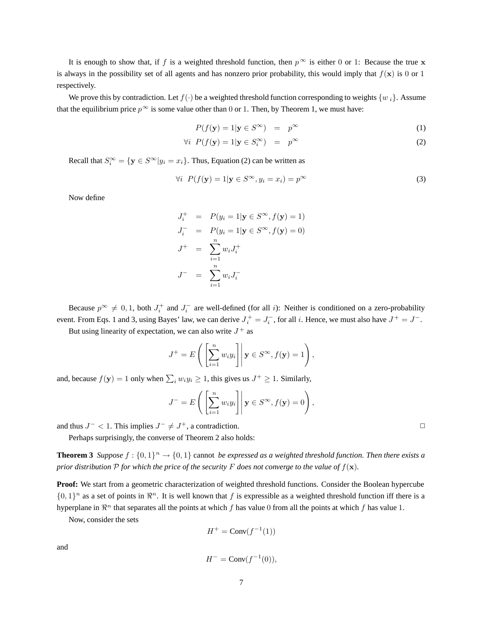It is enough to show that, if f is a weighted threshold function, then  $p^{\infty}$  is either 0 or 1: Because the true **x** is always in the possibility set of all agents and has nonzero prior probability, this would imply that  $f(\mathbf{x})$  is 0 or 1 respectively.

We prove this by contradiction. Let  $f(\cdot)$  be a weighted threshold function corresponding to weights  $\{w_i\}$ . Assume that the equilibrium price  $p^{\infty}$  is some value other than 0 or 1. Then, by Theorem 1, we must have:

$$
P(f(\mathbf{y}) = 1 | \mathbf{y} \in S^{\infty}) = p^{\infty}
$$
 (1)

$$
\forall i \ P(f(\mathbf{y}) = 1 | \mathbf{y} \in S_i^{\infty}) = p^{\infty}
$$
 (2)

Recall that  $S_i^{\infty} = {\mathbf{y} \in S^{\infty} | y_i = x_i}$ . Thus, Equation (2) can be written as

$$
\forall i \ P(f(\mathbf{y}) = 1 | \mathbf{y} \in S^{\infty}, y_i = x_i) = p^{\infty}
$$
\n(3)

Now define

$$
J_i^+ = P(y_i = 1 | \mathbf{y} \in S^{\infty}, f(\mathbf{y}) = 1)
$$
  
\n
$$
J_i^- = P(y_i = 1 | \mathbf{y} \in S^{\infty}, f(\mathbf{y}) = 0)
$$
  
\n
$$
J^+ = \sum_{i=1}^n w_i J_i^+
$$
  
\n
$$
J^- = \sum_{i=1}^n w_i J_i^-
$$

Because  $p^{\infty} \neq 0, 1$ , both  $J_i^+$  and  $J_i^-$  are well-defined (for all i): Neither is conditioned on a zero-probability event. From Eqs. 1 and 3, using Bayes' law, we can derive  $J_i^+ = J_i^-$ , for all i. Hence, we must also have  $J^+ = J^-$ .

But using linearity of expectation, we can also write  $J^+$  as

$$
J^+ = E\left(\left[\sum_{i=1}^n w_i y_i\right]\middle| \mathbf{y} \in S^{\infty}, f(\mathbf{y}) = 1\right),\,
$$

and, because  $f(\mathbf{y}) = 1$  only when  $\sum_i w_i y_i \ge 1$ , this gives us  $J^+ \ge 1$ . Similarly,

$$
J^{-} = E\left(\left[\sum_{i=1}^{n} w_i y_i\right] \middle| \mathbf{y} \in S^{\infty}, f(\mathbf{y}) = 0\right),
$$

and thus  $J^- < 1$ . This implies  $J^- \neq J^+$ , a contradiction.

Perhaps surprisingly, the converse of Theorem 2 also holds:

**Theorem 3** *Suppose*  $f : \{0,1\}^n \to \{0,1\}$  cannot *be expressed as a weighted threshold function. Then there exists a prior distribution* P *for which the price of the security* F *does not converge to the value of*  $f(\mathbf{x})$ *.* 

**Proof:** We start from a geometric characterization of weighted threshold functions. Consider the Boolean hypercube  $\{0, 1\}^n$  as a set of points in  $\mathbb{R}^n$ . It is well known that f is expressible as a weighted threshold function iff there is a hyperplane in  $\mathbb{R}^n$  that separates all the points at which f has value 0 from all the points at which f has value 1.

Now, consider the sets

$$
H^+ = \text{Conv}(f^{-1}(1))
$$

and

$$
H^- = \operatorname{Conv}(f^{-1}(0)),
$$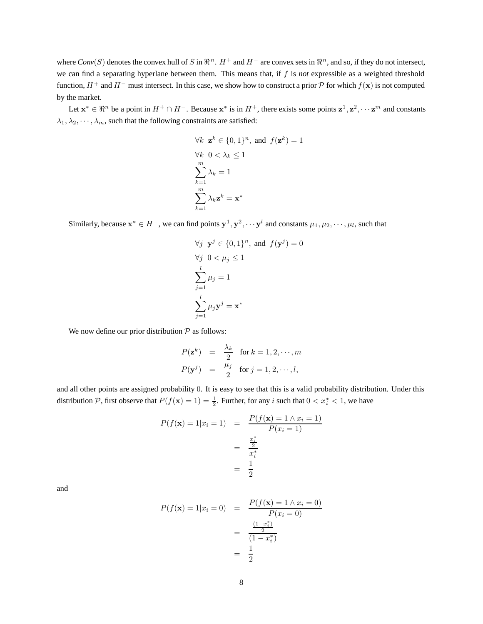where  $Conv(S)$  denotes the convex hull of S in  $\mathbb{R}^n$ .  $H^+$  and  $H^-$  are convex sets in  $\mathbb{R}^n$ , and so, if they do not intersect, we can find a separating hyperlane between them. This means that, if f is *not* expressible as a weighted threshold function,  $H^+$  and  $H^-$  must intersect. In this case, we show how to construct a prior  $P$  for which  $f(\mathbf{x})$  is not computed by the market.

Let  $\mathbf{x}^* \in \mathbb{R}^n$  be a point in  $H^+ \cap H^-$ . Because  $\mathbf{x}^*$  is in  $H^+$ , there exists some points  $\mathbf{z}^1, \mathbf{z}^2, \cdots, \mathbf{z}^m$  and constants  $\lambda_1, \lambda_2, \cdots, \lambda_m$ , such that the following constraints are satisfied:

$$
\forall k \ \mathbf{z}^k \in \{0, 1\}^n, \text{ and } f(\mathbf{z}^k) = 1
$$

$$
\forall k \ 0 < \lambda_k \le 1
$$

$$
\sum_{k=1}^m \lambda_k = 1
$$

$$
\sum_{k=1}^m \lambda_k \mathbf{z}^k = \mathbf{x}^*
$$

Similarly, because  $\mathbf{x}^* \in H^-$ , we can find points  $\mathbf{y}^1, \mathbf{y}^2, \dots, \mathbf{y}^l$  and constants  $\mu_1, \mu_2, \dots, \mu_l$ , such that

$$
\forall j \space \mathbf{y}^j \in \{0, 1\}^n, \text{ and } f(\mathbf{y}^j) = 0
$$

$$
\forall j \space 0 < \mu_j \le 1
$$

$$
\sum_{j=1}^l \mu_j = 1
$$

$$
\sum_{j=1}^l \mu_j \mathbf{y}^j = \mathbf{x}^*
$$

We now define our prior distribution  $P$  as follows:

$$
P(\mathbf{z}^{k}) = \frac{\lambda_{k}}{2} \text{ for } k = 1, 2, \cdots, m
$$
  

$$
P(\mathbf{y}^{j}) = \frac{\mu_{j}}{2} \text{ for } j = 1, 2, \cdots, l,
$$

and all other points are assigned probability 0. It is easy to see that this is a valid probability distribution. Under this distribution P, first observe that  $P(f(\mathbf{x}) = 1) = \frac{1}{2}$ . Further, for any i such that  $0 < x_i^* < 1$ , we have

$$
P(f(\mathbf{x}) = 1 | x_i = 1) = \frac{P(f(\mathbf{x}) = 1 \land x_i = 1)}{P(x_i = 1)} = \frac{\frac{x_i^*}{2}}{\frac{x_i^*}{2}} = \frac{1}{2}
$$

and

$$
P(f(\mathbf{x}) = 1 | x_i = 0) = \frac{P(f(\mathbf{x}) = 1 \land x_i = 0)}{P(x_i = 0)}
$$

$$
= \frac{\frac{(1 - x_i^*)}{2}}{\frac{1}{2}}
$$

$$
= \frac{1}{2}
$$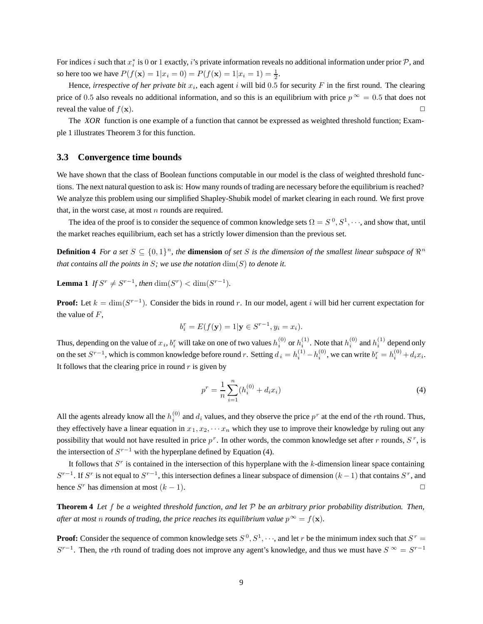For indices *i* such that  $x_i^*$  is 0 or 1 exactly, *i*'s private information reveals no additional information under prior  $P$ , and so here too we have  $P(f(\mathbf{x}) = 1 | x_i = 0) = P(f(\mathbf{x}) = 1 | x_i = 1) = \frac{1}{2}$ .

Hence, *irrespective of her private bit*  $x_i$ , each agent i will bid 0.5 for security F in the first round. The clearing price of 0.5 also reveals no additional information, and so this is an equilibrium with price  $p^{\infty} = 0.5$  that does not reveal the value of  $f(\mathbf{x})$ .

The *XOR* function is one example of a function that cannot be expressed as weighted threshold function; Example 1 illustrates Theorem 3 for this function.

#### **3.3 Convergence time bounds**

We have shown that the class of Boolean functions computable in our model is the class of weighted threshold functions. The next natural question to ask is: How many rounds of trading are necessary before the equilibrium is reached? We analyze this problem using our simplified Shapley-Shubik model of market clearing in each round. We first prove that, in the worst case, at most  $n$  rounds are required.

The idea of the proof is to consider the sequence of common knowledge sets  $\Omega = S^0, S^1, \dots$ , and show that, until the market reaches equilibrium, each set has a strictly lower dimension than the previous set.

**Definition 4** *For a set*  $S \subseteq \{0,1\}^n$ *, the dimension of set* S *is the dimension of the smallest linear subspace of*  $\mathbb{R}^n$ *that contains all the points in*  $S$ *; we use the notation*  $\dim(S)$  *to denote it.* 

**Lemma 1** *If*  $S^r \neq S^{r-1}$ *, then* dim( $S^r$ ) < dim( $S^{r-1}$ )*.* 

**Proof:** Let  $k = \dim(S^{r-1})$ . Consider the bids in round r. In our model, agent i will bid her current expectation for the value of  $F$ ,

$$
b_i^r = E(f(\mathbf{y}) = 1 | \mathbf{y} \in S^{r-1}, y_i = x_i).
$$

Thus, depending on the value of  $x_i$ ,  $b_i^r$  will take on one of two values  $h_i^{(0)}$  or  $h_i^{(1)}$ . Note that  $h_i^{(0)}$  and  $h_i^{(1)}$  depend only on the set  $S^{r-1}$ , which is common knowledge before round r. Setting  $d_i = h_i^{(1)} - h_i^{(0)}$ , we can write  $b_i^r = h_i^{(0)} + d_i x_i$ . It follows that the clearing price in round  $r$  is given by

$$
p^r = \frac{1}{n} \sum_{i=1}^{n} (h_i^{(0)} + d_i x_i)
$$
\n(4)

All the agents already know all the  $h_i^{(0)}$  and  $d_i$  values, and they observe the price  $p^r$  at the end of the *r*th round. Thus, they effectively have a linear equation in  $x_1, x_2, \cdots x_n$  which they use to improve their knowledge by ruling out any possibility that would not have resulted in price  $p^r$ . In other words, the common knowledge set after r rounds,  $S^r$ , is the intersection of  $S^{r-1}$  with the hyperplane defined by Equation (4).

It follows that  $S<sup>r</sup>$  is contained in the intersection of this hyperplane with the  $k$ -dimension linear space containing  $S^{r-1}$ . If  $S^r$  is not equal to  $S^{r-1}$ , this intersection defines a linear subspace of dimension  $(k-1)$  that contains  $S^r$ , and hence  $S^r$  has dimension at most  $(k-1)$ .

**Theorem 4** *Let* f *be a weighted threshold function, and let* P *be an arbitrary prior probability distribution. Then, after at most n rounds of trading, the price reaches its equilibrium value*  $p^{\infty} = f(\mathbf{x})$ *.* 

**Proof:** Consider the sequence of common knowledge sets  $S^0, S^1, \dots$ , and let r be the minimum index such that  $S^r =$  $S^{r-1}$ . Then, the *r*th round of trading does not improve any agent's knowledge, and thus we must have  $S^{\infty} = S^{r-1}$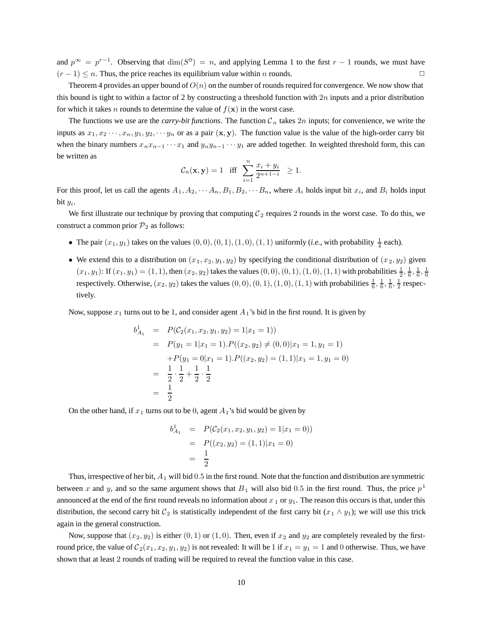and  $p^{\infty} = p^{r-1}$ . Observing that  $\dim(S^0) = n$ , and applying Lemma 1 to the first  $r - 1$  rounds, we must have  $(r-1) \leq n$ . Thus, the price reaches its equilibrium value within n rounds.

Theorem 4 provides an upper bound of  $O(n)$  on the number of rounds required for convergence. We now show that this bound is tight to within a factor of 2 by constructing a threshold function with  $2n$  inputs and a prior distribution for which it takes *n* rounds to determine the value of  $f(\mathbf{x})$  in the worst case.

The functions we use are the *carry-bit functions*. The function  $C_n$  takes  $2n$  inputs; for convenience, we write the inputs as  $x_1, x_2, \dots, x_n, y_1, y_2, \dots, y_n$  or as a pair  $(\mathbf{x}, \mathbf{y})$ . The function value is the value of the high-order carry bit when the binary numbers  $x_nx_{n-1}$  ···  $x_1$  and  $y_ny_{n-1}$  ···  $y_1$  are added together. In weighted threshold form, this can be written as

$$
C_n(\mathbf{x}, \mathbf{y}) = 1 \quad \text{iff} \quad \sum_{i=1}^n \frac{x_i + y_i}{2^{n+1-i}} \ge 1.
$$

For this proof, let us call the agents  $A_1, A_2, \cdots, A_n, B_1, B_2, \cdots, B_n$ , where  $A_i$  holds input bit  $x_i$ , and  $B_i$  holds input bit y*i*.

We first illustrate our technique by proving that computing  $C_2$  requires 2 rounds in the worst case. To do this, we construct a common prior  $\mathcal{P}_2$  as follows:

- The pair  $(x_1, y_1)$  takes on the values  $(0, 0), (0, 1), (1, 0), (1, 1)$  uniformly *(i.e.*, with probability  $\frac{1}{4}$  each).
- We extend this to a distribution on  $(x_1, x_2, y_1, y_2)$  by specifying the conditional distribution of  $(x_2, y_2)$  given  $(x_1, y_1)$ : If  $(x_1, y_1) = (1, 1)$ , then  $(x_2, y_2)$  takes the values  $(0, 0), (0, 1), (1, 0), (1, 1)$  with probabilities  $\frac{1}{2}, \frac{1}{6}, \frac{1}{6}, \frac{1}{6}$ respectively. Otherwise,  $(x_2, y_2)$  takes the values  $(0, 0), (0, 1), (1, 0), (1, 1)$  with probabilities  $\frac{1}{6}, \frac{1}{6}, \frac{1}{6}, \frac{1}{2}$  respectively.

Now, suppose  $x_1$  turns out to be 1, and consider agent  $A_1$ 's bid in the first round. It is given by

$$
b_{A_1}^1 = P(C_2(x_1, x_2, y_1, y_2) = 1|x_1 = 1))
$$
  
=  $P(y_1 = 1|x_1 = 1) \cdot P((x_2, y_2) \neq (0, 0)|x_1 = 1, y_1 = 1)$   
+  $P(y_1 = 0|x_1 = 1) \cdot P((x_2, y_2) = (1, 1)|x_1 = 1, y_1 = 0)$   
=  $\frac{1}{2} \cdot \frac{1}{2} + \frac{1}{2} \cdot \frac{1}{2}$   
=  $\frac{1}{2}$ 

On the other hand, if  $x_1$  turns out to be 0, agent  $A_1$ 's bid would be given by

$$
b_{A_1}^1 = P(C_2(x_1, x_2, y_1, y_2) = 1|x_1 = 0))
$$
  
=  $P((x_2, y_2) = (1, 1)|x_1 = 0)$   
=  $\frac{1}{2}$ 

Thus, irrespective of her bit,  $A_1$  will bid 0.5 in the first round. Note that the function and distribution are symmetric between x and y, and so the same argument shows that  $B_1$  will also bid 0.5 in the first round. Thus, the price  $p<sup>1</sup>$ announced at the end of the first round reveals no information about  $x_1$  or  $y_1$ . The reason this occurs is that, under this distribution, the second carry bit  $C_2$  is statistically independent of the first carry bit  $(x_1 \wedge y_1)$ ; we will use this trick again in the general construction.

Now, suppose that  $(x_2, y_2)$  is either  $(0, 1)$  or  $(1, 0)$ . Then, even if  $x_2$  and  $y_2$  are completely revealed by the firstround price, the value of  $C_2(x_1, x_2, y_1, y_2)$  is not revealed: It will be 1 if  $x_1 = y_1 = 1$  and 0 otherwise. Thus, we have shown that at least 2 rounds of trading will be required to reveal the function value in this case.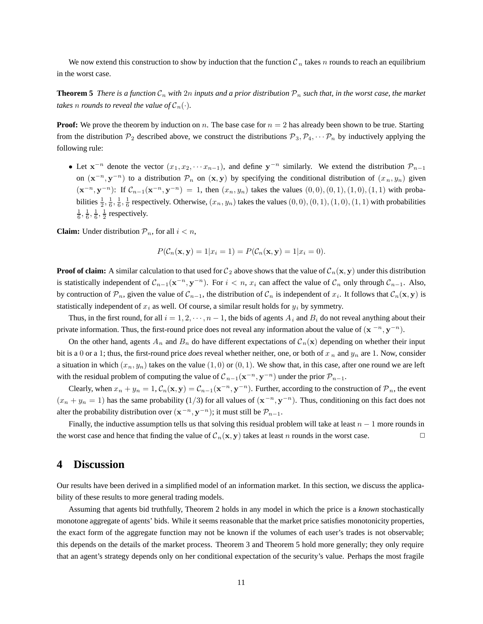We now extend this construction to show by induction that the function  $\mathcal{C}_n$  takes n rounds to reach an equilibrium in the worst case.

**Theorem 5** *There is a function*  $\mathcal{C}_n$  *with*  $2n$  *inputs and a prior distribution*  $\mathcal{P}_n$  *such that, in the worst case, the market takes n rounds to reveal the value of*  $C_n(\cdot)$ *.* 

**Proof:** We prove the theorem by induction on n. The base case for  $n = 2$  has already been shown to be true. Starting from the distribution  $P_2$  described above, we construct the distributions  $P_3, P_4, \cdots P_n$  by inductively applying the following rule:

• Let  $\mathbf{x}^{-n}$  denote the vector  $(x_1, x_2, \cdots x_{n-1})$ , and define  $\mathbf{y}^{-n}$  similarly. We extend the distribution  $\mathcal{P}_{n-1}$ on  $(\mathbf{x}^{-n}, \mathbf{y}^{-n})$  to a distribution  $\mathcal{P}_n$  on  $(\mathbf{x}, \mathbf{y})$  by specifying the conditional distribution of  $(x_n, y_n)$  given  $(\mathbf{x}^{-n}, \mathbf{y}^{-n})$ : If  $C_{n-1}(\mathbf{x}^{-n}, \mathbf{y}^{-n}) = 1$ , then  $(x_n, y_n)$  takes the values  $(0, 0), (0, 1), (1, 0), (1, 1)$  with probabilities  $\frac{1}{2}$ ,  $\frac{1}{6}$ ,  $\frac{1}{6}$ ,  $\frac{1}{6}$  respectively. Otherwise,  $(x_n, y_n)$  takes the values  $(0, 0), (0, 1), (1, 0), (1, 1)$  with probabilities  $\frac{1}{6}, \frac{1}{6}, \frac{1}{2}$  respectively.

**Claim:** Under distribution  $P_n$ , for all  $i < n$ ,

$$
P(\mathcal{C}_n(\mathbf{x}, \mathbf{y}) = 1 | x_i = 1) = P(\mathcal{C}_n(\mathbf{x}, \mathbf{y}) = 1 | x_i = 0).
$$

**Proof of claim:** A similar calculation to that used for  $C_2$  above shows that the value of  $C_n(\mathbf{x}, \mathbf{y})$  under this distribution is statistically independent of  $C_{n-1}(\mathbf{x}^{-n}, \mathbf{y}^{-n})$ . For  $i < n$ ,  $x_i$  can affect the value of  $C_n$  only through  $C_{n-1}$ . Also, by contruction of  $\mathcal{P}_n$ , given the value of  $\mathcal{C}_{n-1}$ , the distribution of  $\mathcal{C}_n$  is independent of  $x_i$ . It follows that  $\mathcal{C}_n(\mathbf{x}, \mathbf{y})$  is statistically independent of  $x_i$  as well. Of course, a similar result holds for  $y_i$  by symmetry.

Thus, in the first round, for all  $i = 1, 2, \dots, n - 1$ , the bids of agents  $A_i$  and  $B_i$  do not reveal anything about their private information. Thus, the first-round price does not reveal any information about the value of  $(\mathbf{x}^{-n}, \mathbf{y}^{-n})$ .

On the other hand, agents  $A_n$  and  $B_n$  do have different expectations of  $C_n(\mathbf{x})$  depending on whether their input bit is a 0 or a 1; thus, the first-round price *does* reveal whether neither, one, or both of x *<sup>n</sup>* and y*<sup>n</sup>* are 1. Now, consider a situation in which  $(x_n, y_n)$  takes on the value  $(1, 0)$  or  $(0, 1)$ . We show that, in this case, after one round we are left with the residual problem of computing the value of  $C_{n-1}(\mathbf{x}^{-n}, \mathbf{y}^{-n})$  under the prior  $\mathcal{P}_{n-1}$ .

Clearly, when  $x_n + y_n = 1$ ,  $C_n(\mathbf{x}, \mathbf{y}) = C_{n-1}(\mathbf{x}^{-n}, \mathbf{y}^{-n})$ . Further, according to the construction of  $\mathcal{P}_n$ , the event (x*<sup>n</sup>* + y*<sup>n</sup>* = 1) has the same probability (1/3) for all values of (**x**−*<sup>n</sup>*, **y**−*<sup>n</sup>*). Thus, conditioning on this fact does not alter the probability distribution over  $(\mathbf{x}^{-n}, \mathbf{y}^{-n})$ ; it must still be  $\mathcal{P}_{n-1}$ .

Finally, the inductive assumption tells us that solving this residual problem will take at least  $n - 1$  more rounds in the worst case and hence that finding the value of  $C_n(\mathbf{x}, \mathbf{y})$  takes at least n rounds in the worst case.

### **4 Discussion**

Our results have been derived in a simplified model of an information market. In this section, we discuss the applicability of these results to more general trading models.

Assuming that agents bid truthfully, Theorem 2 holds in any model in which the price is a *known* stochastically monotone aggregate of agents' bids. While it seems reasonable that the market price satisfies monotonicity properties, the exact form of the aggregate function may not be known if the volumes of each user's trades is not observable; this depends on the details of the market process. Theorem 3 and Theorem 5 hold more generally; they only require that an agent's strategy depends only on her conditional expectation of the security's value. Perhaps the most fragile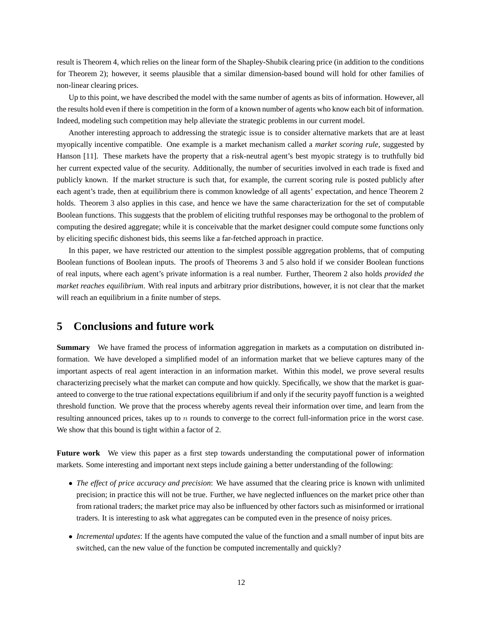result is Theorem 4, which relies on the linear form of the Shapley-Shubik clearing price (in addition to the conditions for Theorem 2); however, it seems plausible that a similar dimension-based bound will hold for other families of non-linear clearing prices.

Up to this point, we have described the model with the same number of agents as bits of information. However, all the results hold even if there is competition in the form of a known number of agents who know each bit of information. Indeed, modeling such competition may help alleviate the strategic problems in our current model.

Another interesting approach to addressing the strategic issue is to consider alternative markets that are at least myopically incentive compatible. One example is a market mechanism called a *market scoring rule*, suggested by Hanson [11]. These markets have the property that a risk-neutral agent's best myopic strategy is to truthfully bid her current expected value of the security. Additionally, the number of securities involved in each trade is fixed and publicly known. If the market structure is such that, for example, the current scoring rule is posted publicly after each agent's trade, then at equilibrium there is common knowledge of all agents' expectation, and hence Theorem 2 holds. Theorem 3 also applies in this case, and hence we have the same characterization for the set of computable Boolean functions. This suggests that the problem of eliciting truthful responses may be orthogonal to the problem of computing the desired aggregate; while it is conceivable that the market designer could compute some functions only by eliciting specific dishonest bids, this seems like a far-fetched approach in practice.

In this paper, we have restricted our attention to the simplest possible aggregation problems, that of computing Boolean functions of Boolean inputs. The proofs of Theorems 3 and 5 also hold if we consider Boolean functions of real inputs, where each agent's private information is a real number. Further, Theorem 2 also holds *provided the market reaches equilibrium*. With real inputs and arbitrary prior distributions, however, it is not clear that the market will reach an equilibrium in a finite number of steps.

### **5 Conclusions and future work**

**Summary** We have framed the process of information aggregation in markets as a computation on distributed information. We have developed a simplified model of an information market that we believe captures many of the important aspects of real agent interaction in an information market. Within this model, we prove several results characterizing precisely what the market can compute and how quickly. Specifically, we show that the market is guaranteed to converge to the true rational expectations equilibrium if and only if the security payoff function is a weighted threshold function. We prove that the process whereby agents reveal their information over time, and learn from the resulting announced prices, takes up to n rounds to converge to the correct full-information price in the worst case. We show that this bound is tight within a factor of 2.

**Future work** We view this paper as a first step towards understanding the computational power of information markets. Some interesting and important next steps include gaining a better understanding of the following:

- *The effect of price accuracy and precision*: We have assumed that the clearing price is known with unlimited precision; in practice this will not be true. Further, we have neglected influences on the market price other than from rational traders; the market price may also be influenced by other factors such as misinformed or irrational traders. It is interesting to ask what aggregates can be computed even in the presence of noisy prices.
- *Incremental updates*: If the agents have computed the value of the function and a small number of input bits are switched, can the new value of the function be computed incrementally and quickly?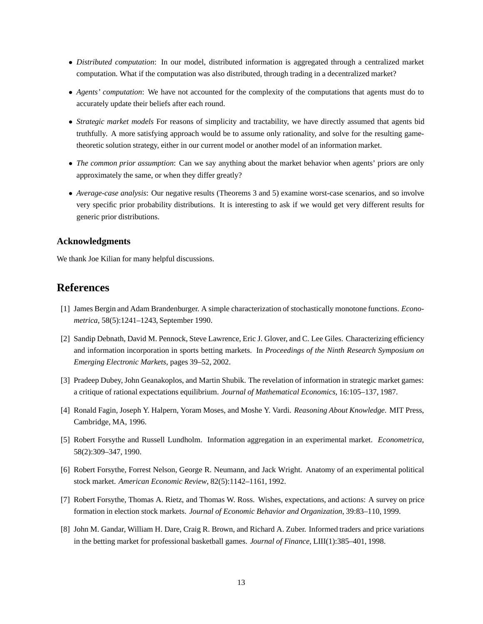- *Distributed computation*: In our model, distributed information is aggregated through a centralized market computation. What if the computation was also distributed, through trading in a decentralized market?
- *Agents' computation*: We have not accounted for the complexity of the computations that agents must do to accurately update their beliefs after each round.
- *Strategic market models* For reasons of simplicity and tractability, we have directly assumed that agents bid truthfully. A more satisfying approach would be to assume only rationality, and solve for the resulting gametheoretic solution strategy, either in our current model or another model of an information market.
- *The common prior assumption*: Can we say anything about the market behavior when agents' priors are only approximately the same, or when they differ greatly?
- *Average-case analysis*: Our negative results (Theorems 3 and 5) examine worst-case scenarios, and so involve very specific prior probability distributions. It is interesting to ask if we would get very different results for generic prior distributions.

### **Acknowledgments**

We thank Joe Kilian for many helpful discussions.

### **References**

- [1] James Bergin and Adam Brandenburger. A simple characterization of stochastically monotone functions. *Econometrica*, 58(5):1241–1243, September 1990.
- [2] Sandip Debnath, David M. Pennock, Steve Lawrence, Eric J. Glover, and C. Lee Giles. Characterizing efficiency and information incorporation in sports betting markets. In *Proceedings of the Ninth Research Symposium on Emerging Electronic Markets*, pages 39–52, 2002.
- [3] Pradeep Dubey, John Geanakoplos, and Martin Shubik. The revelation of information in strategic market games: a critique of rational expectations equilibrium. *Journal of Mathematical Economics*, 16:105–137, 1987.
- [4] Ronald Fagin, Joseph Y. Halpern, Yoram Moses, and Moshe Y. Vardi. *Reasoning About Knowledge*. MIT Press, Cambridge, MA, 1996.
- [5] Robert Forsythe and Russell Lundholm. Information aggregation in an experimental market. *Econometrica*, 58(2):309–347, 1990.
- [6] Robert Forsythe, Forrest Nelson, George R. Neumann, and Jack Wright. Anatomy of an experimental political stock market. *American Economic Review*, 82(5):1142–1161, 1992.
- [7] Robert Forsythe, Thomas A. Rietz, and Thomas W. Ross. Wishes, expectations, and actions: A survey on price formation in election stock markets. *Journal of Economic Behavior and Organization*, 39:83–110, 1999.
- [8] John M. Gandar, William H. Dare, Craig R. Brown, and Richard A. Zuber. Informed traders and price variations in the betting market for professional basketball games. *Journal of Finance*, LIII(1):385–401, 1998.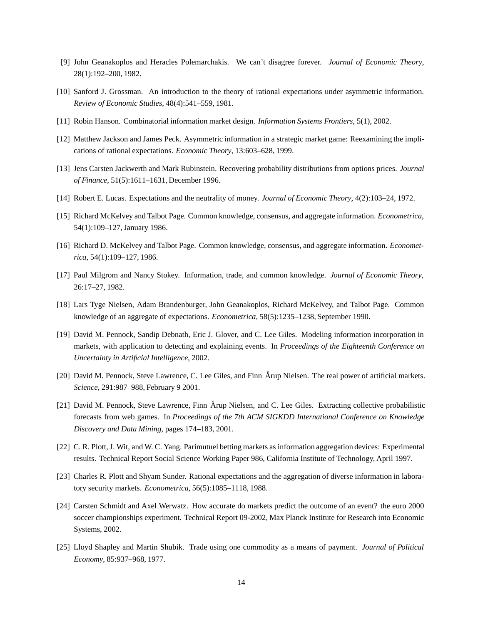- [9] John Geanakoplos and Heracles Polemarchakis. We can't disagree forever. *Journal of Economic Theory*, 28(1):192–200, 1982.
- [10] Sanford J. Grossman. An introduction to the theory of rational expectations under asymmetric information. *Review of Economic Studies*, 48(4):541–559, 1981.
- [11] Robin Hanson. Combinatorial information market design. *Information Systems Frontiers*, 5(1), 2002.
- [12] Matthew Jackson and James Peck. Asymmetric information in a strategic market game: Reexamining the implications of rational expectations. *Economic Theory*, 13:603–628, 1999.
- [13] Jens Carsten Jackwerth and Mark Rubinstein. Recovering probability distributions from options prices. *Journal of Finance*, 51(5):1611–1631, December 1996.
- [14] Robert E. Lucas. Expectations and the neutrality of money. *Journal of Economic Theory*, 4(2):103–24, 1972.
- [15] Richard McKelvey and Talbot Page. Common knowledge, consensus, and aggregate information. *Econometrica*, 54(1):109–127, January 1986.
- [16] Richard D. McKelvey and Talbot Page. Common knowledge, consensus, and aggregate information. *Econometrica*, 54(1):109–127, 1986.
- [17] Paul Milgrom and Nancy Stokey. Information, trade, and common knowledge. *Journal of Economic Theory*, 26:17–27, 1982.
- [18] Lars Tyge Nielsen, Adam Brandenburger, John Geanakoplos, Richard McKelvey, and Talbot Page. Common knowledge of an aggregate of expectations. *Econometrica*, 58(5):1235–1238, September 1990.
- [19] David M. Pennock, Sandip Debnath, Eric J. Glover, and C. Lee Giles. Modeling information incorporation in markets, with application to detecting and explaining events. In *Proceedings of the Eighteenth Conference on Uncertainty in Artificial Intelligence*, 2002.
- [20] David M. Pennock, Steve Lawrence, C. Lee Giles, and Finn Årup Nielsen. The real power of artificial markets. *Science*, 291:987–988, February 9 2001.
- [21] David M. Pennock, Steve Lawrence, Finn Årup Nielsen, and C. Lee Giles. Extracting collective probabilistic forecasts from web games. In *Proceedings of the 7th ACM SIGKDD International Conference on Knowledge Discovery and Data Mining*, pages 174–183, 2001.
- [22] C. R. Plott, J. Wit, and W. C. Yang. Parimutuel betting markets as information aggregation devices: Experimental results. Technical Report Social Science Working Paper 986, California Institute of Technology, April 1997.
- [23] Charles R. Plott and Shyam Sunder. Rational expectations and the aggregation of diverse information in laboratory security markets. *Econometrica*, 56(5):1085–1118, 1988.
- [24] Carsten Schmidt and Axel Werwatz. How accurate do markets predict the outcome of an event? the euro 2000 soccer championships experiment. Technical Report 09-2002, Max Planck Institute for Research into Economic Systems, 2002.
- [25] Lloyd Shapley and Martin Shubik. Trade using one commodity as a means of payment. *Journal of Political Economy*, 85:937–968, 1977.